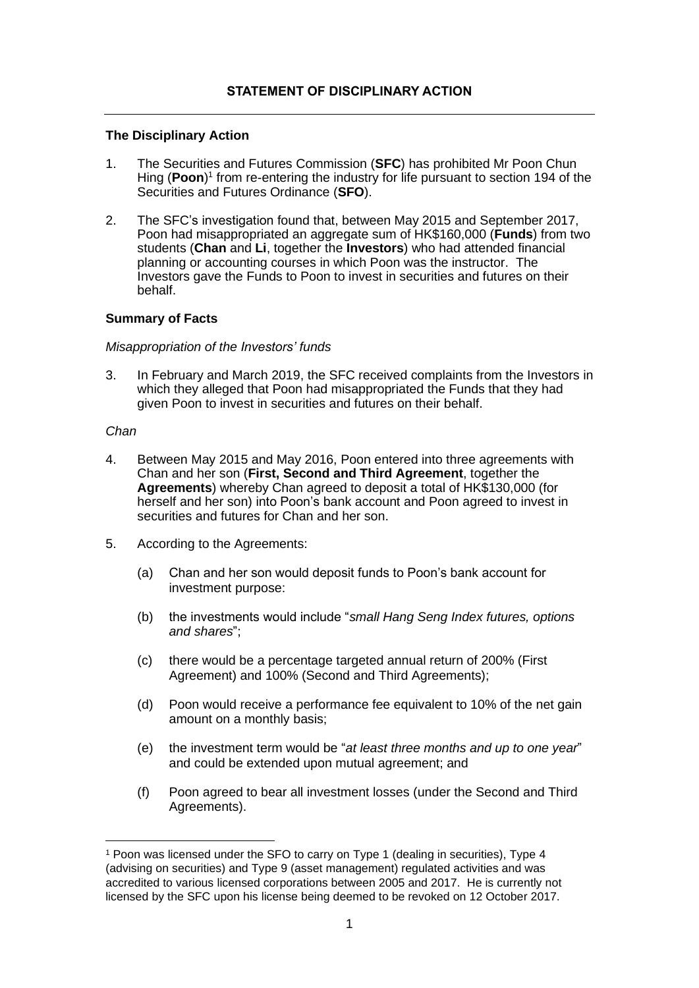## **The Disciplinary Action**

- 1. The Securities and Futures Commission (**SFC**) has prohibited Mr Poon Chun Hing (Poon)<sup>1</sup> from re-entering the industry for life pursuant to section 194 of the Securities and Futures Ordinance (**SFO**).
- 2. The SFC's investigation found that, between May 2015 and September 2017, Poon had misappropriated an aggregate sum of HK\$160,000 (**Funds**) from two students (**Chan** and **Li**, together the **Investors**) who had attended financial planning or accounting courses in which Poon was the instructor. The Investors gave the Funds to Poon to invest in securities and futures on their behalf.

## **Summary of Facts**

## *Misappropriation of the Investors' funds*

3. In February and March 2019, the SFC received complaints from the Investors in which they alleged that Poon had misappropriated the Funds that they had given Poon to invest in securities and futures on their behalf.

## *Chan*

- 4. Between May 2015 and May 2016, Poon entered into three agreements with Chan and her son (**First, Second and Third Agreement**, together the **Agreements**) whereby Chan agreed to deposit a total of HK\$130,000 (for herself and her son) into Poon's bank account and Poon agreed to invest in securities and futures for Chan and her son.
- 5. According to the Agreements:
	- (a) Chan and her son would deposit funds to Poon's bank account for investment purpose:
	- (b) the investments would include "*small Hang Seng Index futures, options and shares*";
	- (c) there would be a percentage targeted annual return of 200% (First Agreement) and 100% (Second and Third Agreements);
	- (d) Poon would receive a performance fee equivalent to 10% of the net gain amount on a monthly basis;
	- (e) the investment term would be "*at least three months and up to one year*" and could be extended upon mutual agreement; and
	- (f) Poon agreed to bear all investment losses (under the Second and Third Agreements).

<sup>1</sup> Poon was licensed under the SFO to carry on Type 1 (dealing in securities), Type 4 (advising on securities) and Type 9 (asset management) regulated activities and was accredited to various licensed corporations between 2005 and 2017. He is currently not licensed by the SFC upon his license being deemed to be revoked on 12 October 2017.